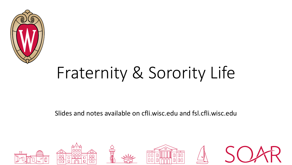

# Fraternity & Sorority Life

Slides and notes available on cfli.wisc.edu and fsl.cfli.wisc.edu

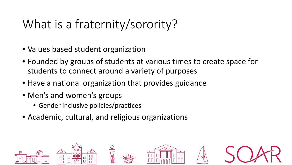# What is a fraternity/sorority?

- Values based student organization
- Founded by groups of students at various times to create space for students to connect around a variety of purposes
- Have a national organization that provides guidance
- Men's and women's groups
	- Gender inclusive policies/practices
- Academic, cultural, and religious organizations

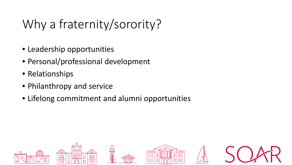# Why a fraternity/sorority?

- Leadership opportunities
- Personal/professional development
- Relationships
- Philanthropy and service
- Lifelong commitment and alumni opportunities

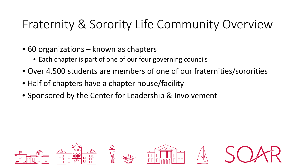#### Fraternity & Sorority Life Community Overview

- 60 organizations known as chapters
	- Each chapter is part of one of our four governing councils
- Over 4,500 students are members of one of our fraternities/sororities
- Half of chapters have a chapter house/facility
- Sponsored by the Center for Leadership & Involvement

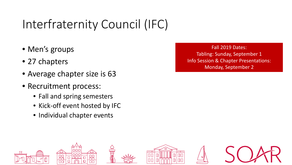# Interfraternity Council (IFC)

- Men's groups
- 27 chapters
- Average chapter size is 63
- Recruitment process:
	- Fall and spring semesters
	- Kick-off event hosted by IFC
	- Individual chapter events

Fall 2019 Dates: Tabling: Sunday, September 1 Info Session & Chapter Presentations: Monday, September 2

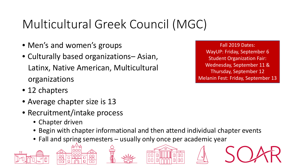# Multicultural Greek Council (MGC)

- Men's and women's groups
- Culturally based organizations– Asian, Latinx, Native American, Multicultural organizations
- 12 chapters
- Average chapter size is 13
- Recruitment/intake process
	- Chapter driven
	- Begin with chapter informational and then attend individual chapter events
	- Fall and spring semesters usually only once per academic year







Fall 2019 Dates: WayUP: Friday, September 6 Student Organization Fair: Wednesday, September 11 & Thursday, September 12 Melanin Fest: Friday, September 13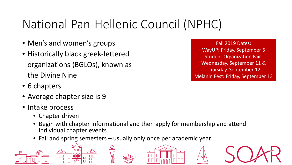# National Pan-Hellenic Council (NPHC)

- Men's and women's groups
- Historically black greek-lettered organizations (BGLOs), known as the Divine Nine
- 6 chapters
- Average chapter size is 9
- Intake process
	- Chapter driven
	- Begin with chapter informational and then apply for membership and attend individual chapter events
	- Fall and spring semesters usually only once per academic year







Fall 2019 Dates: WayUP: Friday, September 6 Student Organization Fair: Wednesday, September 11 & Thursday, September 12 Melanin Fest: Friday, September 13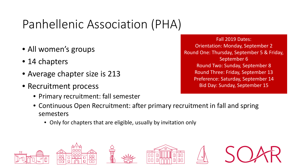# Panhellenic Association (PHA)

- All women's groups
- 14 chapters
- Average chapter size is 213
- Recruitment process
	- Primary recruitment: fall semester
	- Continuous Open Recruitment: after primary recruitment in fall and spring semesters
		- Only for chapters that are eligible, usually by invitation only



Fall 2019 Dates: Orientation: Monday, September 2 Round One: Thursday, September 5 & Friday, September 6 Round Two: Sunday, September 8 Round Three: Friday, September 13 Preference: Saturday, September 14 Bid Day: Sunday, September 15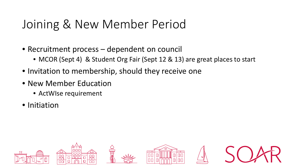#### Joining & New Member Period

- Recruitment process dependent on council
	- MCOR (Sept 4) & Student Org Fair (Sept 12 & 13) are great places to start
- Invitation to membership, should they receive one
- New Member Education
	- ActWIse requirement
- Initiation

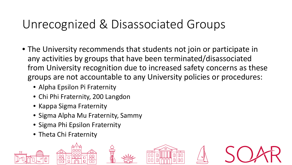#### Unrecognized & Disassociated Groups

- The University recommends that students not join or participate in any activities by groups that have been terminated/disassociated from University recognition due to increased safety concerns as these groups are not accountable to any University policies or procedures:
	- Alpha Epsilon Pi Fraternity
	- Chi Phi Fraternity, 200 Langdon
	- Kappa Sigma Fraternity
	- Sigma Alpha Mu Fraternity, Sammy
	- Sigma Phi Epsilon Fraternity
	- Theta Chi Fraternity

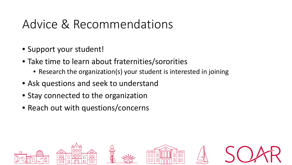#### Advice & Recommendations

- Support your student!
- Take time to learn about fraternities/sororities
	- Research the organization(s) your student is interested in joining
- Ask questions and seek to understand
- Stay connected to the organization
- Reach out with questions/concerns